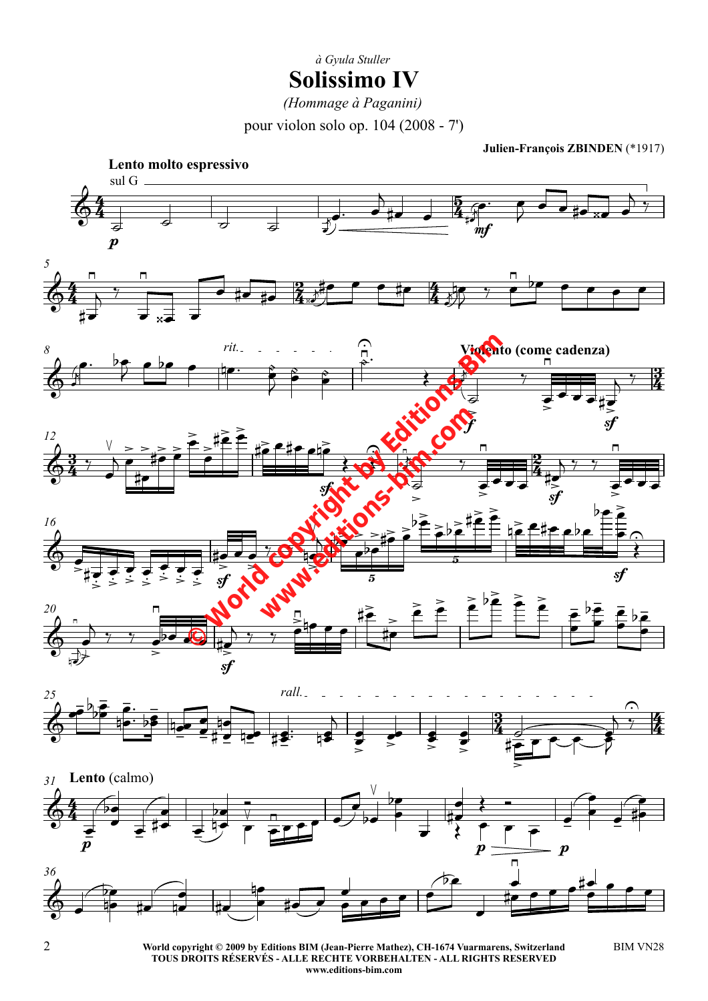**Solissimo IV** *à Gyula Stuller*

*(Hommage à Paganini)*

pour violon solo op. 104 (2008 - 7')

**Julien-François ZBINDEN** (\*1917)